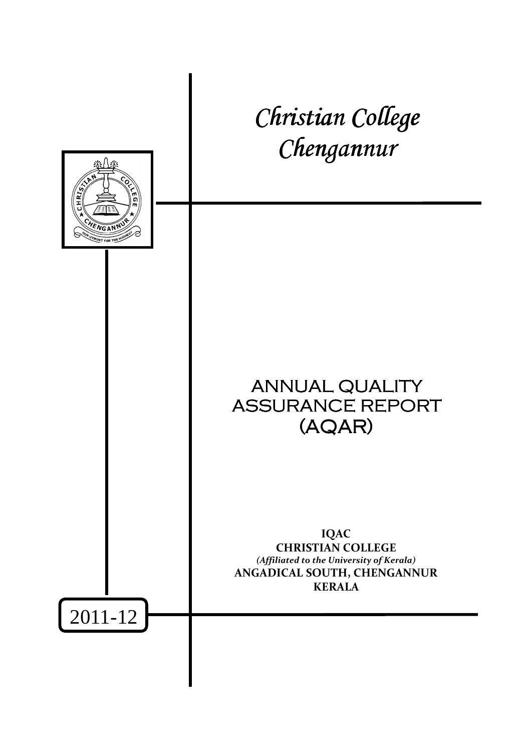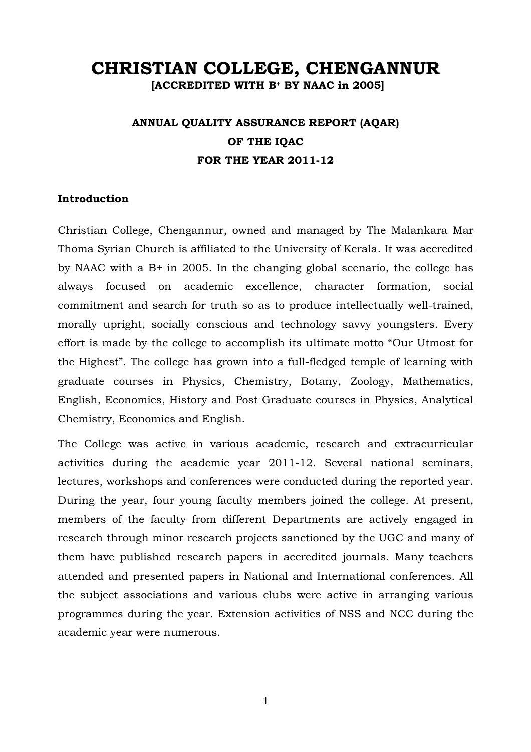# **CHRISTIAN COLLEGE, CHENGANNUR [ACCREDITED WITH B<sup>+</sup> BY NAAC in 2005]**

# **ANNUAL QUALITY ASSURANCE REPORT (AQAR) OF THE IQAC FOR THE YEAR 2011-12**

#### **Introduction**

Christian College, Chengannur, owned and managed by The Malankara Mar Thoma Syrian Church is affiliated to the University of Kerala. It was accredited by NAAC with a B+ in 2005. In the changing global scenario, the college has always focused on academic excellence, character formation, social commitment and search for truth so as to produce intellectually well-trained, morally upright, socially conscious and technology savvy youngsters. Every effort is made by the college to accomplish its ultimate motto "Our Utmost for the Highest". The college has grown into a full-fledged temple of learning with graduate courses in Physics, Chemistry, Botany, Zoology, Mathematics, English, Economics, History and Post Graduate courses in Physics, Analytical Chemistry, Economics and English.

The College was active in various academic, research and extracurricular activities during the academic year 2011-12. Several national seminars, lectures, workshops and conferences were conducted during the reported year. During the year, four young faculty members joined the college. At present, members of the faculty from different Departments are actively engaged in research through minor research projects sanctioned by the UGC and many of them have published research papers in accredited journals. Many teachers attended and presented papers in National and International conferences. All the subject associations and various clubs were active in arranging various programmes during the year. Extension activities of NSS and NCC during the academic year were numerous.

1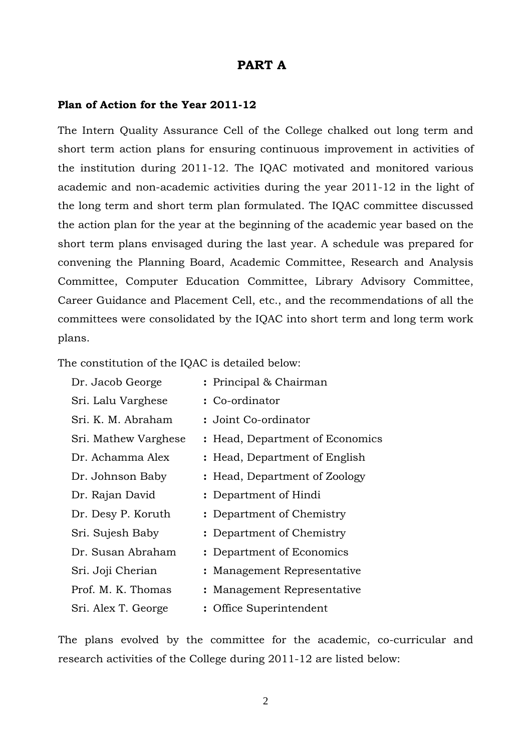# **PART A**

#### **Plan of Action for the Year 2011-12**

The Intern Quality Assurance Cell of the College chalked out long term and short term action plans for ensuring continuous improvement in activities of the institution during 2011-12. The IQAC motivated and monitored various academic and non-academic activities during the year 2011-12 in the light of the long term and short term plan formulated. The IQAC committee discussed the action plan for the year at the beginning of the academic year based on the short term plans envisaged during the last year. A schedule was prepared for convening the Planning Board, Academic Committee, Research and Analysis Committee, Computer Education Committee, Library Advisory Committee, Career Guidance and Placement Cell, etc., and the recommendations of all the committees were consolidated by the IQAC into short term and long term work plans.

The constitution of the IQAC is detailed below:

| Dr. Jacob George     | : Principal & Chairman          |
|----------------------|---------------------------------|
| Sri. Lalu Varghese   | : Co-ordinator                  |
| Sri. K. M. Abraham   | : Joint Co-ordinator            |
| Sri. Mathew Varghese | : Head, Department of Economics |
| Dr. Achamma Alex     | : Head, Department of English   |
| Dr. Johnson Baby     | : Head, Department of Zoology   |
| Dr. Rajan David      | : Department of Hindi           |
| Dr. Desy P. Koruth   | : Department of Chemistry       |
| Sri. Sujesh Baby     | : Department of Chemistry       |
| Dr. Susan Abraham    | : Department of Economics       |
| Sri. Joji Cherian    | : Management Representative     |
| Prof. M. K. Thomas   | : Management Representative     |
| Sri. Alex T. George  | : Office Superintendent         |

The plans evolved by the committee for the academic, co-curricular and research activities of the College during 2011-12 are listed below: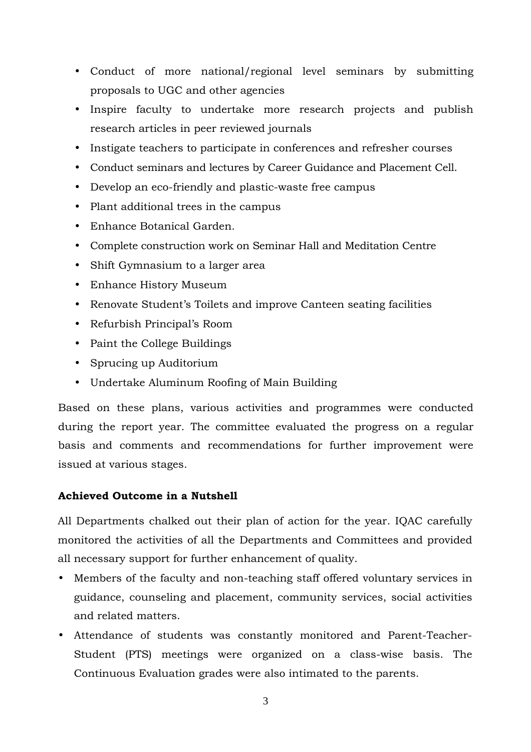- Conduct of more national/regional level seminars by submitting proposals to UGC and other agencies
- Inspire faculty to undertake more research projects and publish research articles in peer reviewed journals
- Instigate teachers to participate in conferences and refresher courses
- Conduct seminars and lectures by Career Guidance and Placement Cell.
- Develop an eco-friendly and plastic-waste free campus
- Plant additional trees in the campus
- Enhance Botanical Garden.
- Complete construction work on Seminar Hall and Meditation Centre
- Shift Gymnasium to a larger area
- Enhance History Museum
- Renovate Student's Toilets and improve Canteen seating facilities
- Refurbish Principal's Room
- Paint the College Buildings
- Sprucing up Auditorium
- Undertake Aluminum Roofing of Main Building

Based on these plans, various activities and programmes were conducted during the report year. The committee evaluated the progress on a regular basis and comments and recommendations for further improvement were issued at various stages.

# **Achieved Outcome in a Nutshell**

All Departments chalked out their plan of action for the year. IQAC carefully monitored the activities of all the Departments and Committees and provided all necessary support for further enhancement of quality.

- Members of the faculty and non-teaching staff offered voluntary services in guidance, counseling and placement, community services, social activities and related matters.
- Attendance of students was constantly monitored and Parent-Teacher-Student (PTS) meetings were organized on a class-wise basis. The Continuous Evaluation grades were also intimated to the parents.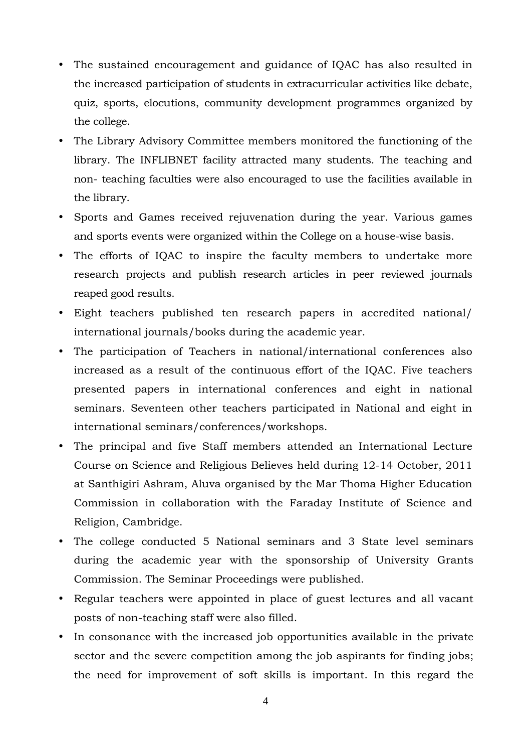- The sustained encouragement and guidance of IQAC has also resulted in the increased participation of students in extracurricular activities like debate, quiz, sports, elocutions, community development programmes organized by the college.
- The Library Advisory Committee members monitored the functioning of the library. The INFLIBNET facility attracted many students. The teaching and non- teaching faculties were also encouraged to use the facilities available in the library.
- Sports and Games received rejuvenation during the year. Various games and sports events were organized within the College on a house-wise basis.
- The efforts of IQAC to inspire the faculty members to undertake more research projects and publish research articles in peer reviewed journals reaped good results.
- Eight teachers published ten research papers in accredited national/ international journals/books during the academic year.
- The participation of Teachers in national/international conferences also increased as a result of the continuous effort of the IQAC. Five teachers presented papers in international conferences and eight in national seminars. Seventeen other teachers participated in National and eight in international seminars/conferences/workshops.
- The principal and five Staff members attended an International Lecture Course on Science and Religious Believes held during 12-14 October, 2011 at Santhigiri Ashram, Aluva organised by the Mar Thoma Higher Education Commission in collaboration with the Faraday Institute of Science and Religion, Cambridge.
- The college conducted 5 National seminars and 3 State level seminars during the academic year with the sponsorship of University Grants Commission. The Seminar Proceedings were published.
- Regular teachers were appointed in place of guest lectures and all vacant posts of non-teaching staff were also filled.
- In consonance with the increased job opportunities available in the private sector and the severe competition among the job aspirants for finding jobs; the need for improvement of soft skills is important. In this regard the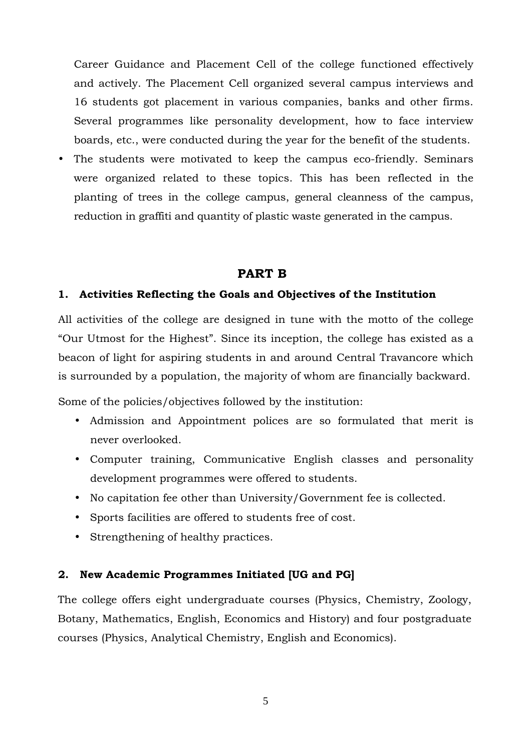Career Guidance and Placement Cell of the college functioned effectively and actively. The Placement Cell organized several campus interviews and 16 students got placement in various companies, banks and other firms. Several programmes like personality development, how to face interview boards, etc., were conducted during the year for the benefit of the students.

• The students were motivated to keep the campus eco-friendly. Seminars were organized related to these topics. This has been reflected in the planting of trees in the college campus, general cleanness of the campus, reduction in graffiti and quantity of plastic waste generated in the campus.

## **PART B**

#### **1. Activities Reflecting the Goals and Objectives of the Institution**

All activities of the college are designed in tune with the motto of the college "Our Utmost for the Highest". Since its inception, the college has existed as a beacon of light for aspiring students in and around Central Travancore which is surrounded by a population, the majority of whom are financially backward.

Some of the policies/objectives followed by the institution:

- Admission and Appointment polices are so formulated that merit is never overlooked.
- Computer training, Communicative English classes and personality development programmes were offered to students.
- No capitation fee other than University/Government fee is collected.
- Sports facilities are offered to students free of cost.
- Strengthening of healthy practices.

#### **2. New Academic Programmes Initiated [UG and PG]**

The college offers eight undergraduate courses (Physics, Chemistry, Zoology, Botany, Mathematics, English, Economics and History) and four postgraduate courses (Physics, Analytical Chemistry, English and Economics).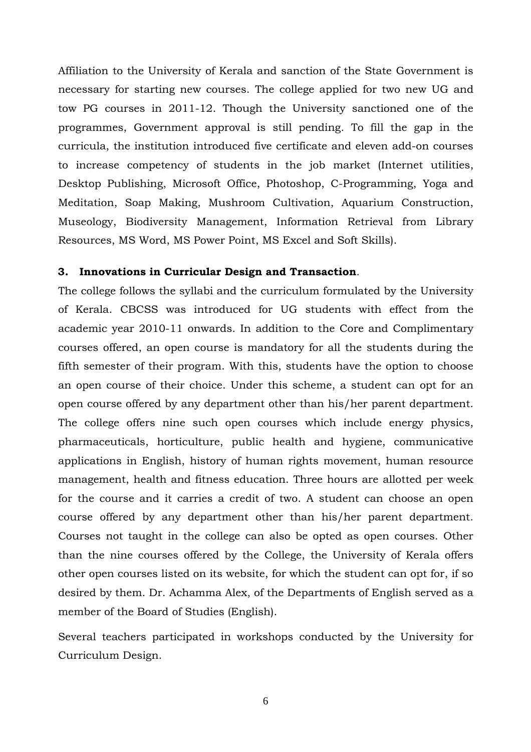Affiliation to the University of Kerala and sanction of the State Government is necessary for starting new courses. The college applied for two new UG and tow PG courses in 2011-12. Though the University sanctioned one of the programmes, Government approval is still pending. To fill the gap in the curricula, the institution introduced five certificate and eleven add-on courses to increase competency of students in the job market (Internet utilities, Desktop Publishing, Microsoft Office, Photoshop, C-Programming, Yoga and Meditation, Soap Making, Mushroom Cultivation, Aquarium Construction, Museology, Biodiversity Management, Information Retrieval from Library Resources, MS Word, MS Power Point, MS Excel and Soft Skills).

#### **3. Innovations in Curricular Design and Transaction**.

The college follows the syllabi and the curriculum formulated by the University of Kerala. CBCSS was introduced for UG students with effect from the academic year 2010-11 onwards. In addition to the Core and Complimentary courses offered, an open course is mandatory for all the students during the fifth semester of their program. With this, students have the option to choose an open course of their choice. Under this scheme, a student can opt for an open course offered by any department other than his/her parent department. The college offers nine such open courses which include energy physics, pharmaceuticals, horticulture, public health and hygiene, communicative applications in English, history of human rights movement, human resource management, health and fitness education. Three hours are allotted per week for the course and it carries a credit of two. A student can choose an open course offered by any department other than his/her parent department. Courses not taught in the college can also be opted as open courses. Other than the nine courses offered by the College, the University of Kerala offers other open courses listed on its website, for which the student can opt for, if so desired by them. Dr. Achamma Alex, of the Departments of English served as a member of the Board of Studies (English).

Several teachers participated in workshops conducted by the University for Curriculum Design.

6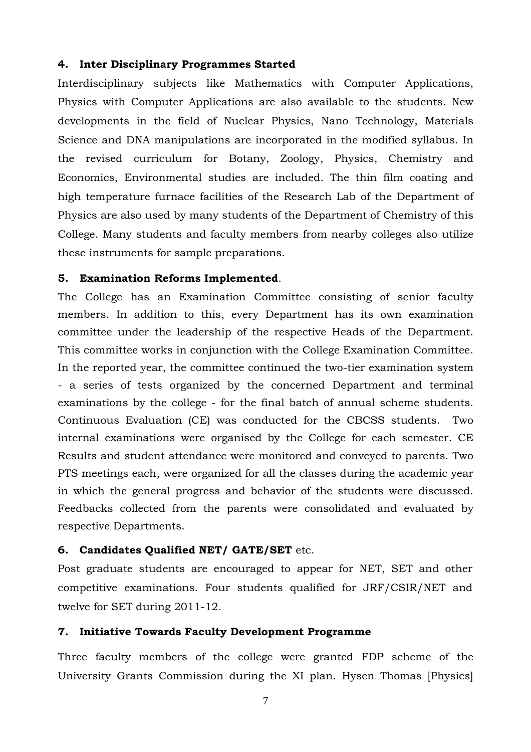#### **4. Inter Disciplinary Programmes Started**

Interdisciplinary subjects like Mathematics with Computer Applications, Physics with Computer Applications are also available to the students. New developments in the field of Nuclear Physics, Nano Technology, Materials Science and DNA manipulations are incorporated in the modified syllabus. In the revised curriculum for Botany, Zoology, Physics, Chemistry and Economics, Environmental studies are included. The thin film coating and high temperature furnace facilities of the Research Lab of the Department of Physics are also used by many students of the Department of Chemistry of this College. Many students and faculty members from nearby colleges also utilize these instruments for sample preparations.

#### **5. Examination Reforms Implemented**.

The College has an Examination Committee consisting of senior faculty members. In addition to this, every Department has its own examination committee under the leadership of the respective Heads of the Department. This committee works in conjunction with the College Examination Committee. In the reported year, the committee continued the two-tier examination system - a series of tests organized by the concerned Department and terminal examinations by the college - for the final batch of annual scheme students. Continuous Evaluation (CE) was conducted for the CBCSS students. Two internal examinations were organised by the College for each semester. CE Results and student attendance were monitored and conveyed to parents. Two PTS meetings each, were organized for all the classes during the academic year in which the general progress and behavior of the students were discussed. Feedbacks collected from the parents were consolidated and evaluated by respective Departments.

## **6. Candidates Qualified NET/ GATE/SET** etc.

Post graduate students are encouraged to appear for NET, SET and other competitive examinations. Four students qualified for JRF/CSIR/NET and twelve for SET during 2011-12.

#### **7. Initiative Towards Faculty Development Programme**

Three faculty members of the college were granted FDP scheme of the University Grants Commission during the XI plan. Hysen Thomas [Physics]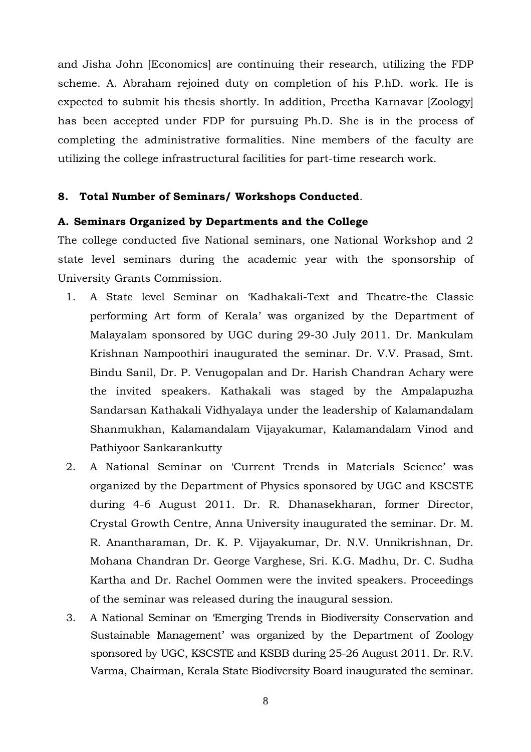and Jisha John [Economics] are continuing their research, utilizing the FDP scheme. A. Abraham rejoined duty on completion of his P.hD. work. He is expected to submit his thesis shortly. In addition, Preetha Karnavar [Zoology] has been accepted under FDP for pursuing Ph.D. She is in the process of completing the administrative formalities. Nine members of the faculty are utilizing the college infrastructural facilities for part-time research work.

#### **8. Total Number of Seminars/ Workshops Conducted**.

#### **A. Seminars Organized by Departments and the College**

The college conducted five National seminars, one National Workshop and 2 state level seminars during the academic year with the sponsorship of University Grants Commission.

- 1. A State level Seminar on 'Kadhakali-Text and Theatre-the Classic performing Art form of Kerala' was organized by the Department of Malayalam sponsored by UGC during 29-30 July 2011. Dr. Mankulam Krishnan Nampoothiri inaugurated the seminar. Dr. V.V. Prasad, Smt. Bindu Sanil, Dr. P. Venugopalan and Dr. Harish Chandran Achary were the invited speakers. Kathakali was staged by the Ampalapuzha Sandarsan Kathakali Vidhyalaya under the leadership of Kalamandalam Shanmukhan, Kalamandalam Vijayakumar, Kalamandalam Vinod and Pathiyoor Sankarankutty
- 2. A National Seminar on 'Current Trends in Materials Science' was organized by the Department of Physics sponsored by UGC and KSCSTE during 4-6 August 2011. Dr. R. Dhanasekharan, former Director, Crystal Growth Centre, Anna University inaugurated the seminar. Dr. M. R. Anantharaman, Dr. K. P. Vijayakumar, Dr. N.V. Unnikrishnan, Dr. Mohana Chandran Dr. George Varghese, Sri. K.G. Madhu, Dr. C. Sudha Kartha and Dr. Rachel Oommen were the invited speakers. Proceedings of the seminar was released during the inaugural session.
- 3. A National Seminar on 'Emerging Trends in Biodiversity Conservation and Sustainable Management' was organized by the Department of Zoology sponsored by UGC, KSCSTE and KSBB during 25-26 August 2011. Dr. R.V. Varma, Chairman, Kerala State Biodiversity Board inaugurated the seminar.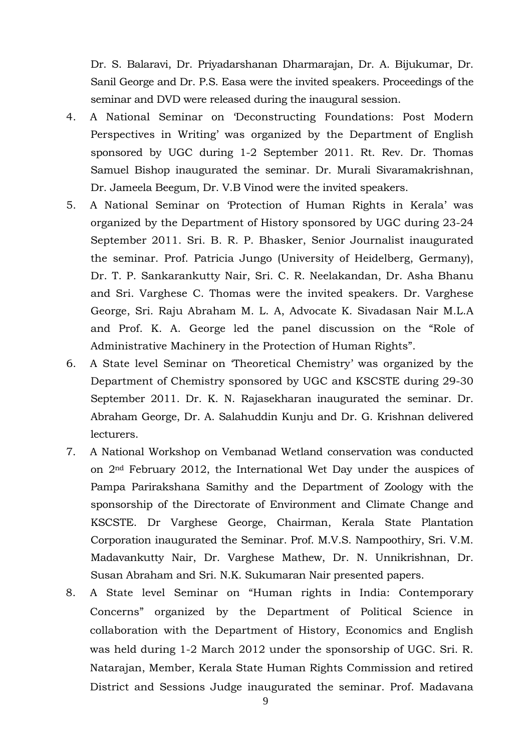Dr. S. Balaravi, Dr. Priyadarshanan Dharmarajan, Dr. A. Bijukumar, Dr. Sanil George and Dr. P.S. Easa were the invited speakers. Proceedings of the seminar and DVD were released during the inaugural session.

- 4. A National Seminar on 'Deconstructing Foundations: Post Modern Perspectives in Writing' was organized by the Department of English sponsored by UGC during 1-2 September 2011. Rt. Rev. Dr. Thomas Samuel Bishop inaugurated the seminar. Dr. Murali Sivaramakrishnan, Dr. Jameela Beegum, Dr. V.B Vinod were the invited speakers.
- 5. A National Seminar on 'Protection of Human Rights in Kerala' was organized by the Department of History sponsored by UGC during 23-24 September 2011. Sri. B. R. P. Bhasker, Senior Journalist inaugurated the seminar. Prof. Patricia Jungo (University of Heidelberg, Germany), Dr. T. P. Sankarankutty Nair, Sri. C. R. Neelakandan, Dr. Asha Bhanu and Sri. Varghese C. Thomas were the invited speakers. Dr. Varghese George, Sri. Raju Abraham M. L. A, Advocate K. Sivadasan Nair M.L.A and Prof. K. A. George led the panel discussion on the "Role of Administrative Machinery in the Protection of Human Rights".
- 6. A State level Seminar on 'Theoretical Chemistry' was organized by the Department of Chemistry sponsored by UGC and KSCSTE during 29-30 September 2011. Dr. K. N. Rajasekharan inaugurated the seminar. Dr. Abraham George, Dr. A. Salahuddin Kunju and Dr. G. Krishnan delivered lecturers.
- 7. A National Workshop on Vembanad Wetland conservation was conducted on 2nd February 2012, the International Wet Day under the auspices of Pampa Parirakshana Samithy and the Department of Zoology with the sponsorship of the Directorate of Environment and Climate Change and KSCSTE. Dr Varghese George, Chairman, Kerala State Plantation Corporation inaugurated the Seminar. Prof. M.V.S. Nampoothiry, Sri. V.M. Madavankutty Nair, Dr. Varghese Mathew, Dr. N. Unnikrishnan, Dr. Susan Abraham and Sri. N.K. Sukumaran Nair presented papers.
- 8. A State level Seminar on "Human rights in India: Contemporary Concerns" organized by the Department of Political Science in collaboration with the Department of History, Economics and English was held during 1-2 March 2012 under the sponsorship of UGC. Sri. R. Natarajan, Member, Kerala State Human Rights Commission and retired District and Sessions Judge inaugurated the seminar. Prof. Madavana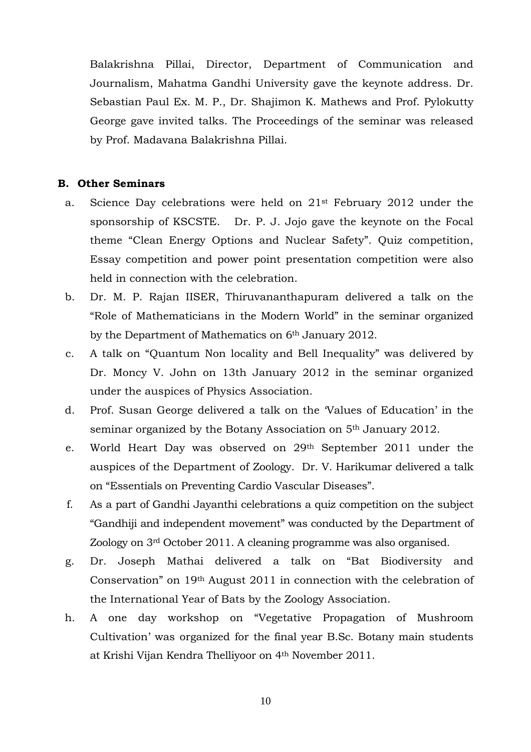Balakrishna Pillai, Director, Department of Communication and Journalism, Mahatma Gandhi University gave the keynote address. Dr. Sebastian Paul Ex. M. P., Dr. Shajimon K. Mathews and Prof. Pylokutty George gave invited talks. The Proceedings of the seminar was released by Prof. Madavana Balakrishna Pillai.

#### **B. Other Seminars**

- a. Science Day celebrations were held on 21st February 2012 under the sponsorship of KSCSTE. Dr. P. J. Jojo gave the keynote on the Focal theme "Clean Energy Options and Nuclear Safety". Quiz competition, Essay competition and power point presentation competition were also held in connection with the celebration.
- b. Dr. M. P. Rajan IISER, Thiruvananthapuram delivered a talk on the "Role of Mathematicians in the Modern World" in the seminar organized by the Department of Mathematics on 6<sup>th</sup> January 2012.
- c. A talk on "Quantum Non locality and Bell Inequality" was delivered by Dr. Moncy V. John on 13th January 2012 in the seminar organized under the auspices of Physics Association.
- d. Prof. Susan George delivered a talk on the 'Values of Education' in the seminar organized by the Botany Association on 5<sup>th</sup> January 2012.
- e. World Heart Day was observed on 29th September 2011 under the auspices of the Department of Zoology. Dr. V. Harikumar delivered a talk on "Essentials on Preventing Cardio Vascular Diseases".
- f. As a part of Gandhi Jayanthi celebrations a quiz competition on the subject "Gandhiji and independent movement" was conducted by the Department of Zoology on 3rd October 2011. A cleaning programme was also organised.
- g. Dr. Joseph Mathai delivered a talk on "Bat Biodiversity and Conservation" on 19th August 2011 in connection with the celebration of the International Year of Bats by the Zoology Association.
- h. A one day workshop on "Vegetative Propagation of Mushroom Cultivation' was organized for the final year B.Sc. Botany main students at Krishi Vijan Kendra Thelliyoor on 4th November 2011.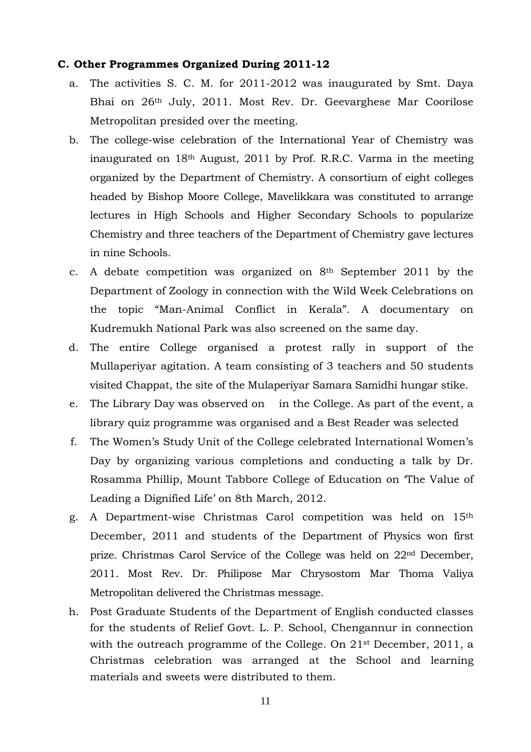#### **C. Other Programmes Organized During 2011-12**

- a. The activities S. C. M. for 2011-2012 was inaugurated by Smt. Daya Bhai on 26th July, 2011. Most Rev. Dr. Geevarghese Mar Coorilose Metropolitan presided over the meeting.
- b. The college-wise celebration of the International Year of Chemistry was inaugurated on 18th August, 2011 by Prof. R.R.C. Varma in the meeting organized by the Department of Chemistry. A consortium of eight colleges headed by Bishop Moore College, Mavelikkara was constituted to arrange lectures in High Schools and Higher Secondary Schools to popularize Chemistry and three teachers of the Department of Chemistry gave lectures in nine Schools.
- c. A debate competition was organized on 8th September 2011 by the Department of Zoology in connection with the Wild Week Celebrations on the topic "Man-Animal Conflict in Kerala". A documentary on Kudremukh National Park was also screened on the same day.
- d. The entire College organised a protest rally in support of the Mullaperiyar agitation. A team consisting of 3 teachers and 50 students visited Chappat, the site of the Mulaperiyar Samara Samidhi hungar stike.
- e. The Library Day was observed on in the College. As part of the event, a library quiz programme was organised and a Best Reader was selected
- f. The Women's Study Unit of the College celebrated International Women's Day by organizing various completions and conducting a talk by Dr. Rosamma Phillip, Mount Tabbore College of Education on 'The Value of Leading a Dignified Life' on 8th March, 2012.
- g. A Department-wise Christmas Carol competition was held on 15th December, 2011 and students of the Department of Physics won first prize. Christmas Carol Service of the College was held on 22nd December, 2011. Most Rev. Dr. Philipose Mar Chrysostom Mar Thoma Valiya Metropolitan delivered the Christmas message.
- h. Post Graduate Students of the Department of English conducted classes for the students of Relief Govt. L. P. School, Chengannur in connection with the outreach programme of the College. On 21<sup>st</sup> December, 2011, a Christmas celebration was arranged at the School and learning materials and sweets were distributed to them.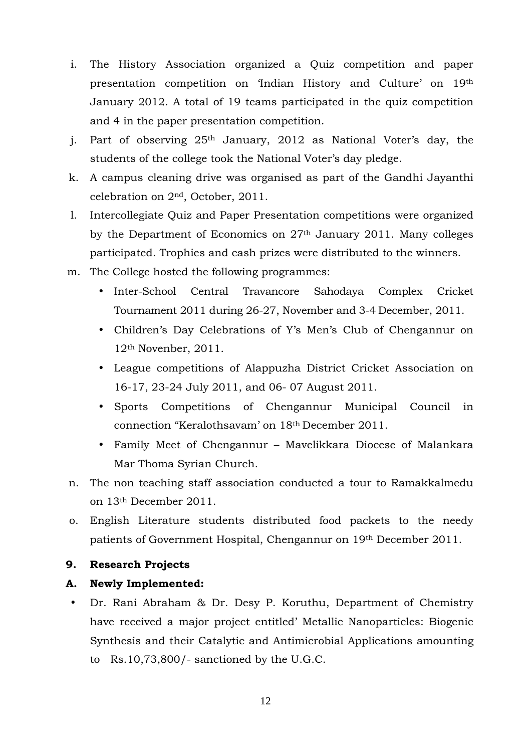- i. The History Association organized a Quiz competition and paper presentation competition on 'Indian History and Culture' on 19th January 2012. A total of 19 teams participated in the quiz competition and 4 in the paper presentation competition.
- j. Part of observing 25<sup>th</sup> January, 2012 as National Voter's day, the students of the college took the National Voter's day pledge.
- k. A campus cleaning drive was organised as part of the Gandhi Jayanthi celebration on 2nd, October, 2011.
- l. Intercollegiate Quiz and Paper Presentation competitions were organized by the Department of Economics on 27th January 2011. Many colleges participated. Trophies and cash prizes were distributed to the winners.
- m. The College hosted the following programmes:
	- Inter-School Central Travancore Sahodaya Complex Cricket Tournament 2011 during 26-27, November and 3-4 December, 2011.
	- Children's Day Celebrations of Y's Men's Club of Chengannur on 12th Novenber, 2011.
	- League competitions of Alappuzha District Cricket Association on 16-17, 23-24 July 2011, and 06- 07 August 2011.
	- Sports Competitions of Chengannur Municipal Council in connection "Keralothsavam' on 18th December 2011.
	- Family Meet of Chengannur Mavelikkara Diocese of Malankara Mar Thoma Syrian Church.
- n. The non teaching staff association conducted a tour to Ramakkalmedu on 13th December 2011.
- o. English Literature students distributed food packets to the needy patients of Government Hospital, Chengannur on 19th December 2011.

## **9. Research Projects**

## **A. Newly Implemented:**

• Dr. Rani Abraham & Dr. Desy P. Koruthu, Department of Chemistry have received a major project entitled' Metallic Nanoparticles: Biogenic Synthesis and their Catalytic and Antimicrobial Applications amounting to Rs.10,73,800/- sanctioned by the U.G.C.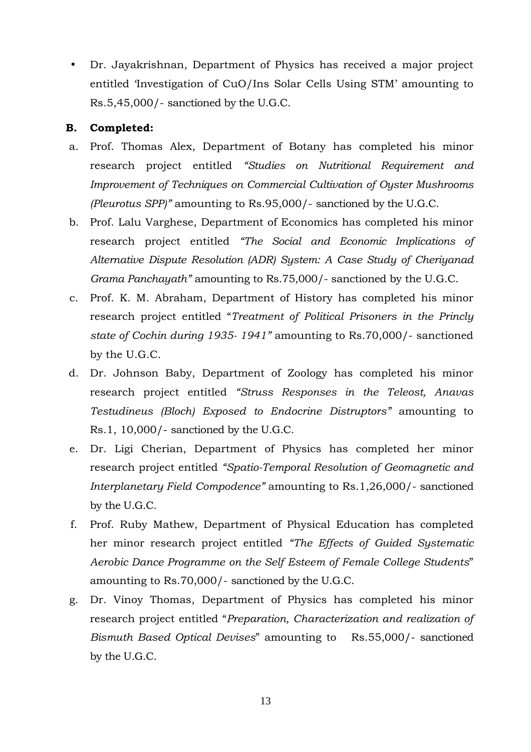• Dr. Jayakrishnan, Department of Physics has received a major project entitled 'Investigation of CuO/Ins Solar Cells Using STM' amounting to Rs.5,45,000/- sanctioned by the U.G.C.

## **B. Completed:**

- a. Prof. Thomas Alex, Department of Botany has completed his minor research project entitled *"Studies on Nutritional Requirement and Improvement of Techniques on Commercial Cultivation of Oyster Mushrooms (Pleurotus SPP)"* amounting to Rs.95,000/- sanctioned by the U.G.C.
- b. Prof. Lalu Varghese, Department of Economics has completed his minor research project entitled *"The Social and Economic Implications of Alternative Dispute Resolution (ADR) System: A Case Study of Cheriyanad Grama Panchayath"* amounting to Rs.75,000/- sanctioned by the U.G.C.
- c. Prof. K. M. Abraham, Department of History has completed his minor research project entitled "*Treatment of Political Prisoners in the Princly state of Cochin during 1935- 1941"* amounting to Rs.70,000/- sanctioned by the U.G.C.
- d. Dr. Johnson Baby, Department of Zoology has completed his minor research project entitled *"Struss Responses in the Teleost, Anavas Testudineus (Bloch) Exposed to Endocrine Distruptors"* amounting to Rs.1, 10,000/- sanctioned by the U.G.C.
- e. Dr. Ligi Cherian, Department of Physics has completed her minor research project entitled *"Spatio-Temporal Resolution of Geomagnetic and Interplanetary Field Compodence"* amounting to Rs.1,26,000/- sanctioned by the U.G.C.
- f. Prof. Ruby Mathew, Department of Physical Education has completed her minor research project entitled *"The Effects of Guided Systematic Aerobic Dance Programme on the Self Esteem of Female College Students*" amounting to Rs.70,000/- sanctioned by the U.G.C.
- g. Dr. Vinoy Thomas, Department of Physics has completed his minor research project entitled "*Preparation, Characterization and realization of Bismuth Based Optical Devises*" amounting to Rs.55,000/- sanctioned by the U.G.C.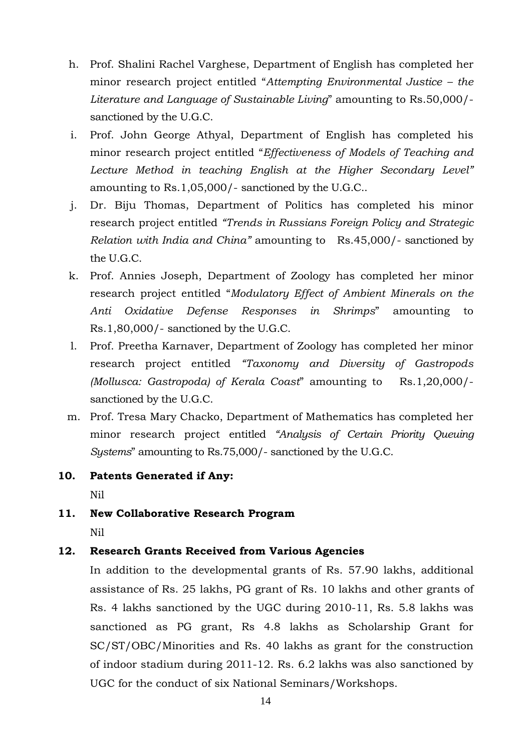- h. Prof. Shalini Rachel Varghese, Department of English has completed her minor research project entitled "*Attempting Environmental Justice – the Literature and Language of Sustainable Living*" amounting to Rs.50,000/ sanctioned by the U.G.C.
- i. Prof. John George Athyal, Department of English has completed his minor research project entitled "*Effectiveness of Models of Teaching and Lecture Method in teaching English at the Higher Secondary Level"* amounting to Rs.1,05,000/- sanctioned by the U.G.C..
- j. Dr. Biju Thomas, Department of Politics has completed his minor research project entitled *"Trends in Russians Foreign Policy and Strategic Relation with India and China"* amounting to Rs.45,000/- sanctioned by the U.G.C.
- k. Prof. Annies Joseph, Department of Zoology has completed her minor research project entitled "*Modulatory Effect of Ambient Minerals on the Anti Oxidative Defense Responses in Shrimps*" amounting to Rs.1,80,000/- sanctioned by the U.G.C.
- l. Prof. Preetha Karnaver, Department of Zoology has completed her minor research project entitled *"Taxonomy and Diversity of Gastropods (Mollusca: Gastropoda) of Kerala Coast*" amounting to Rs.1,20,000/ sanctioned by the U.G.C.
- m. Prof. Tresa Mary Chacko, Department of Mathematics has completed her minor research project entitled *"Analysis of Certain Priority Queuing Systems*" amounting to Rs.75,000/- sanctioned by the U.G.C.
- **10. Patents Generated if Any:**

Nil

**11. New Collaborative Research Program**

Nil

# **12. Research Grants Received from Various Agencies**

In addition to the developmental grants of Rs. 57.90 lakhs, additional assistance of Rs. 25 lakhs, PG grant of Rs. 10 lakhs and other grants of Rs. 4 lakhs sanctioned by the UGC during 2010-11, Rs. 5.8 lakhs was sanctioned as PG grant, Rs 4.8 lakhs as Scholarship Grant for SC/ST/OBC/Minorities and Rs. 40 lakhs as grant for the construction of indoor stadium during 2011-12. Rs. 6.2 lakhs was also sanctioned by UGC for the conduct of six National Seminars/Workshops.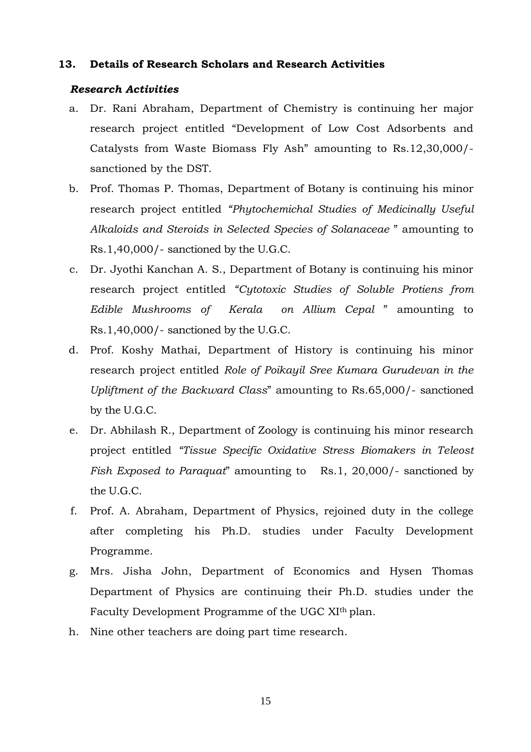#### **13. Details of Research Scholars and Research Activities**

#### *Research Activities*

- a. Dr. Rani Abraham, Department of Chemistry is continuing her major research project entitled "Development of Low Cost Adsorbents and Catalysts from Waste Biomass Fly Ash" amounting to Rs.12,30,000/ sanctioned by the DST.
- b. Prof. Thomas P. Thomas, Department of Botany is continuing his minor research project entitled *"Phytochemichal Studies of Medicinally Useful Alkaloids and Steroids in Selected Species of Solanaceae* " amounting to Rs.1,40,000/- sanctioned by the U.G.C.
- c. Dr. Jyothi Kanchan A. S., Department of Botany is continuing his minor research project entitled *"Cytotoxic Studies of Soluble Protiens from Edible Mushrooms of Kerala on Allium Cepal* " amounting to Rs.1,40,000/- sanctioned by the U.G.C.
- d. Prof. Koshy Mathai, Department of History is continuing his minor research project entitled *Role of Poikayil Sree Kumara Gurudevan in the Upliftment of the Backward Class*" amounting to Rs.65,000/- sanctioned by the U.G.C.
- e. Dr. Abhilash R., Department of Zoology is continuing his minor research project entitled *"Tissue Specific Oxidative Stress Biomakers in Teleost Fish Exposed to Paraquat*" amounting to Rs.1, 20,000/- sanctioned by the U.G.C.
- f. Prof. A. Abraham, Department of Physics, rejoined duty in the college after completing his Ph.D. studies under Faculty Development Programme.
- g. Mrs. Jisha John, Department of Economics and Hysen Thomas Department of Physics are continuing their Ph.D. studies under the Faculty Development Programme of the UGC XI<sup>th</sup> plan.
- h. Nine other teachers are doing part time research.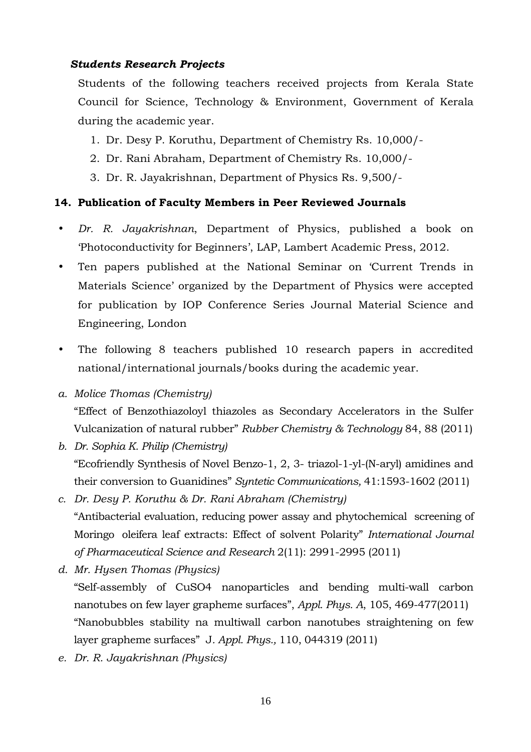# *Students Research Projects*

Students of the following teachers received projects from Kerala State Council for Science, Technology & Environment, Government of Kerala during the academic year.

- 1. Dr. Desy P. Koruthu, Department of Chemistry Rs. 10,000/-
- 2. Dr. Rani Abraham, Department of Chemistry Rs. 10,000/-
- 3. Dr. R. Jayakrishnan, Department of Physics Rs. 9,500/-

# **14. Publication of Faculty Members in Peer Reviewed Journals**

- *Dr. R. Jayakrishnan*, Department of Physics, published a book on 'Photoconductivity for Beginners', LAP, Lambert Academic Press, 2012.
- Ten papers published at the National Seminar on 'Current Trends in Materials Science' organized by the Department of Physics were accepted for publication by IOP Conference Series Journal Material Science and Engineering, London
- The following 8 teachers published 10 research papers in accredited national/international journals/books during the academic year.
- *a. Molice Thomas (Chemistry)*  "Effect of Benzothiazoloyl thiazoles as Secondary Accelerators in the Sulfer Vulcanization of natural rubber" *Rubber Chemistry & Technology* 84, 88 (2011)
- *b. Dr. Sophia K. Philip (Chemistry)*  "Ecofriendly Synthesis of Novel Benzo-1, 2, 3- triazol-1-yl-(N-aryl) amidines and their conversion to Guanidines" *Syntetic Communications,* 41:1593-1602 (2011)
- *c. Dr. Desy P. Koruthu & Dr. Rani Abraham (Chemistry)*  "Antibacterial evaluation, reducing power assay and phytochemical screening of Moringo oleifera leaf extracts: Effect of solvent Polarity" *International Journal of Pharmaceutical Science and Research* 2(11): 2991-2995 (2011)
- *d. Mr. Hysen Thomas (Physics)*  "Self-assembly of CuSO4 nanoparticles and bending multi-wall carbon nanotubes on few layer grapheme surfaces", *Appl. Phys. A*, 105, 469-477(2011) "Nanobubbles stability na multiwall carbon nanotubes straightening on few layer grapheme surfaces" J*. Appl. Phys.,* 110, 044319 (2011)
- *e. Dr. R. Jayakrishnan (Physics)*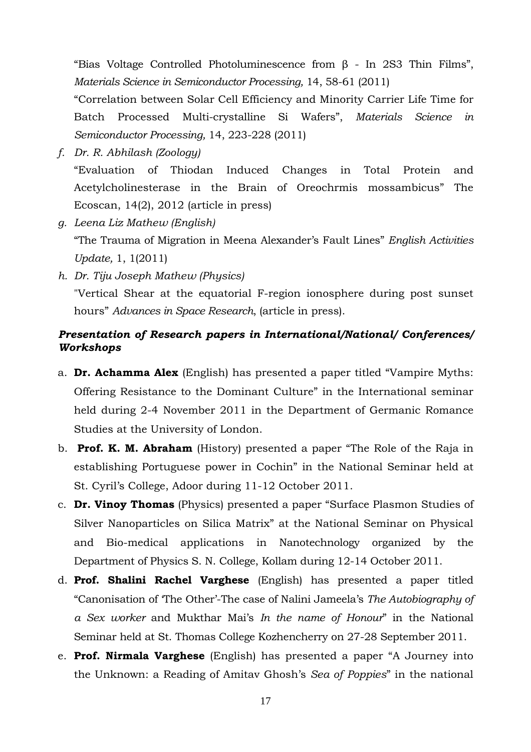"Bias Voltage Controlled Photoluminescence from β - In 2S3 Thin Films", *Materials Science in Semiconductor Processing,* 14, 58-61 (2011)

"Correlation between Solar Cell Efficiency and Minority Carrier Life Time for Batch Processed Multi-crystalline Si Wafers", *Materials Science in Semiconductor Processing,* 14, 223-228 (2011)

*f. Dr. R. Abhilash (Zoology)* 

"Evaluation of Thiodan Induced Changes in Total Protein and Acetylcholinesterase in the Brain of Oreochrmis mossambicus" The Ecoscan, 14(2), 2012 (article in press)

- *g. Leena Liz Mathew (English)*  "The Trauma of Migration in Meena Alexander's Fault Lines" *English Activities Update,* 1, 1(2011)
- *h. Dr. Tiju Joseph Mathew (Physics)*  "Vertical Shear at the equatorial F-region ionosphere during post sunset hours" *Advances in Space Research*, (article in press).

# *Presentation of Research papers in International/National/ Conferences/ Workshops*

- a. **Dr. Achamma Alex** (English) has presented a paper titled "Vampire Myths: Offering Resistance to the Dominant Culture" in the International seminar held during 2-4 November 2011 in the Department of Germanic Romance Studies at the University of London.
- b. **Prof. K. M. Abraham** (History) presented a paper "The Role of the Raja in establishing Portuguese power in Cochin" in the National Seminar held at St. Cyril's College, Adoor during 11-12 October 2011.
- c. **Dr. Vinoy Thomas** (Physics) presented a paper "Surface Plasmon Studies of Silver Nanoparticles on Silica Matrix" at the National Seminar on Physical and Bio-medical applications in Nanotechnology organized by the Department of Physics S. N. College, Kollam during 12-14 October 2011.
- d. **Prof. Shalini Rachel Varghese** (English) has presented a paper titled "Canonisation of 'The Other'-The case of Nalini Jameela's *The Autobiography of a Sex worker* and Mukthar Mai's *In the name of Honour*" in the National Seminar held at St. Thomas College Kozhencherry on 27-28 September 2011.
- e. **Prof. Nirmala Varghese** (English) has presented a paper "A Journey into the Unknown: a Reading of Amitav Ghosh's *Sea of Poppies*" in the national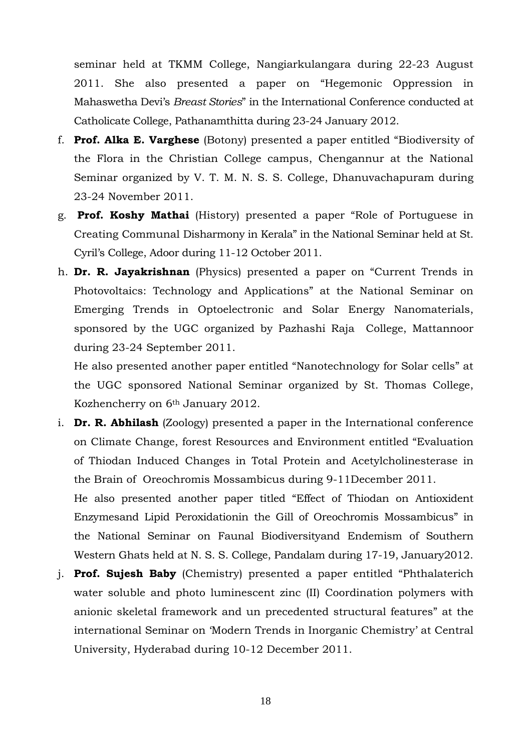seminar held at TKMM College, Nangiarkulangara during 22-23 August 2011. She also presented a paper on "Hegemonic Oppression in Mahaswetha Devi's *Breast Stories*" in the International Conference conducted at Catholicate College, Pathanamthitta during 23-24 January 2012.

- f. **Prof. Alka E. Varghese** (Botony) presented a paper entitled "Biodiversity of the Flora in the Christian College campus, Chengannur at the National Seminar organized by V. T. M. N. S. S. College, Dhanuvachapuram during 23-24 November 2011.
- g. **Prof. Koshy Mathai** (History) presented a paper "Role of Portuguese in Creating Communal Disharmony in Kerala" in the National Seminar held at St. Cyril's College, Adoor during 11-12 October 2011.
- h. **Dr. R. Jayakrishnan** (Physics) presented a paper on "Current Trends in Photovoltaics: Technology and Applications" at the National Seminar on Emerging Trends in Optoelectronic and Solar Energy Nanomaterials, sponsored by the UGC organized by Pazhashi Raja College, Mattannoor during 23-24 September 2011.

He also presented another paper entitled "Nanotechnology for Solar cells" at the UGC sponsored National Seminar organized by St. Thomas College, Kozhencherry on 6th January 2012.

i. **Dr. R. Abhilash** (Zoology) presented a paper in the International conference on Climate Change, forest Resources and Environment entitled "Evaluation of Thiodan Induced Changes in Total Protein and Acetylcholinesterase in the Brain of Oreochromis Mossambicus during 9-11December 2011.

He also presented another paper titled "Effect of Thiodan on Antioxident Enzymesand Lipid Peroxidationin the Gill of Oreochromis Mossambicus" in the National Seminar on Faunal Biodiversityand Endemism of Southern Western Ghats held at N. S. S. College, Pandalam during 17-19, January2012.

j. **Prof. Sujesh Baby** (Chemistry) presented a paper entitled "Phthalaterich water soluble and photo luminescent zinc (II) Coordination polymers with anionic skeletal framework and un precedented structural features" at the international Seminar on 'Modern Trends in Inorganic Chemistry' at Central University, Hyderabad during 10-12 December 2011.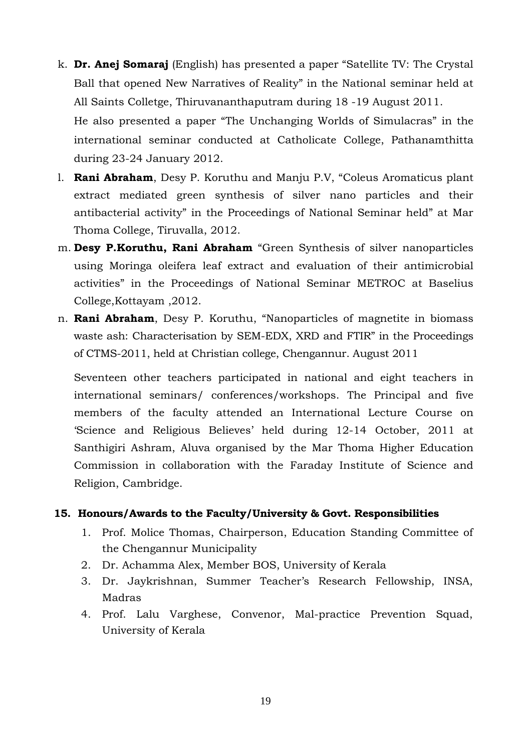k. **Dr. Anej Somaraj** (English) has presented a paper "Satellite TV: The Crystal Ball that opened New Narratives of Reality" in the National seminar held at All Saints Colletge, Thiruvananthaputram during 18 -19 August 2011.

He also presented a paper "The Unchanging Worlds of Simulacras" in the international seminar conducted at Catholicate College, Pathanamthitta during 23-24 January 2012.

- l. **Rani Abraham**, Desy P. Koruthu and Manju P.V, "Coleus Aromaticus plant extract mediated green synthesis of silver nano particles and their antibacterial activity" in the Proceedings of National Seminar held" at Mar Thoma College, Tiruvalla, 2012.
- m. **Desy P.Koruthu, Rani Abraham** "Green Synthesis of silver nanoparticles using Moringa oleifera leaf extract and evaluation of their antimicrobial activities" in the Proceedings of National Seminar METROC at Baselius College,Kottayam ,2012.
- n. **Rani Abraham**, Desy P. Koruthu, "Nanoparticles of magnetite in biomass waste ash: Characterisation by SEM-EDX, XRD and FTIR" in the Proceedings of CTMS-2011, held at Christian college, Chengannur. August 2011

Seventeen other teachers participated in national and eight teachers in international seminars/ conferences/workshops. The Principal and five members of the faculty attended an International Lecture Course on 'Science and Religious Believes' held during 12-14 October, 2011 at Santhigiri Ashram, Aluva organised by the Mar Thoma Higher Education Commission in collaboration with the Faraday Institute of Science and Religion, Cambridge.

## **15. Honours/Awards to the Faculty/University & Govt. Responsibilities**

- 1. Prof. Molice Thomas, Chairperson, Education Standing Committee of the Chengannur Municipality
- 2. Dr. Achamma Alex, Member BOS, University of Kerala
- 3. Dr. Jaykrishnan, Summer Teacher's Research Fellowship, INSA, Madras
- 4. Prof. Lalu Varghese, Convenor, Mal-practice Prevention Squad, University of Kerala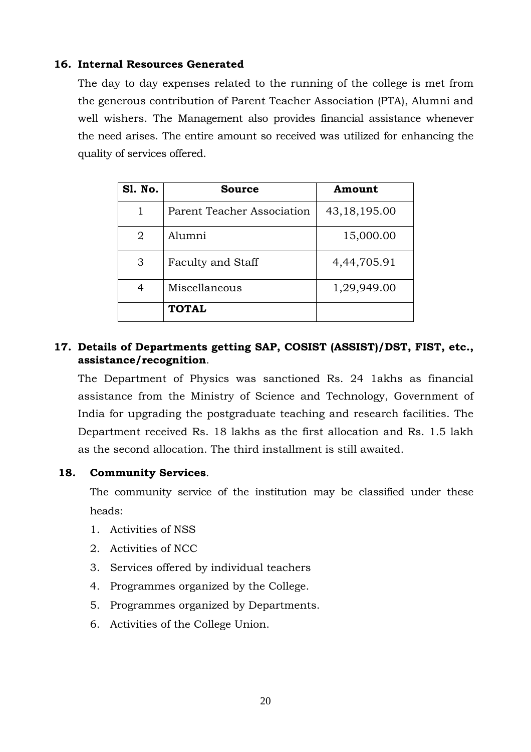# **16. Internal Resources Generated**

The day to day expenses related to the running of the college is met from the generous contribution of Parent Teacher Association (PTA), Alumni and well wishers. The Management also provides financial assistance whenever the need arises. The entire amount so received was utilized for enhancing the quality of services offered.

| <b>S1. No.</b> | Source                     | Amount         |  |  |
|----------------|----------------------------|----------------|--|--|
|                | Parent Teacher Association | 43, 18, 195.00 |  |  |
| 2              | Alumni                     | 15,000.00      |  |  |
| 3              | Faculty and Staff          | 4,44,705.91    |  |  |
| 4              | Miscellaneous              | 1,29,949.00    |  |  |
|                | <b>TOTAL</b>               |                |  |  |

# **17. Details of Departments getting SAP, COSIST (ASSIST)/DST, FIST, etc., assistance/recognition**.

The Department of Physics was sanctioned Rs. 24 1akhs as financial assistance from the Ministry of Science and Technology, Government of India for upgrading the postgraduate teaching and research facilities. The Department received Rs. 18 lakhs as the first allocation and Rs. 1.5 lakh as the second allocation. The third installment is still awaited.

## **18. Community Services**.

The community service of the institution may be classified under these heads:

- 1. Activities of NSS
- 2. Activities of NCC
- 3. Services offered by individual teachers
- 4. Programmes organized by the College.
- 5. Programmes organized by Departments.
- 6. Activities of the College Union.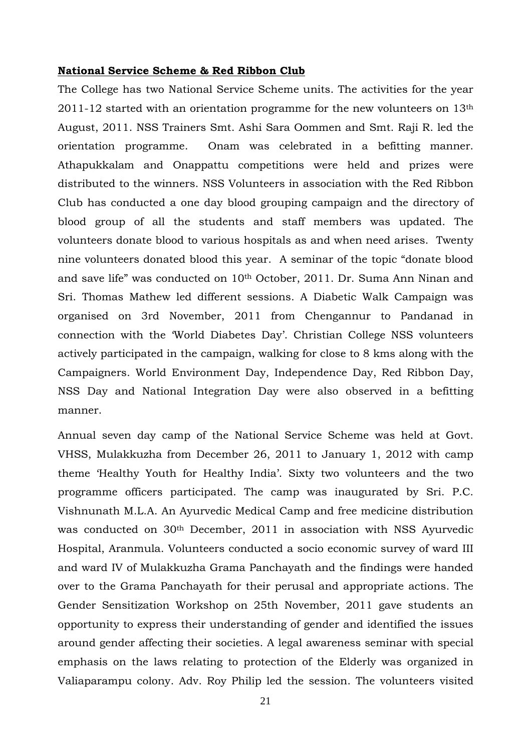#### **National Service Scheme & Red Ribbon Club**

The College has two National Service Scheme units. The activities for the year 2011-12 started with an orientation programme for the new volunteers on 13th August, 2011. NSS Trainers Smt. Ashi Sara Oommen and Smt. Raji R. led the orientation programme. Onam was celebrated in a befitting manner. Athapukkalam and Onappattu competitions were held and prizes were distributed to the winners. NSS Volunteers in association with the Red Ribbon Club has conducted a one day blood grouping campaign and the directory of blood group of all the students and staff members was updated. The volunteers donate blood to various hospitals as and when need arises. Twenty nine volunteers donated blood this year. A seminar of the topic "donate blood and save life" was conducted on 10th October, 2011. Dr. Suma Ann Ninan and Sri. Thomas Mathew led different sessions. A Diabetic Walk Campaign was organised on 3rd November, 2011 from Chengannur to Pandanad in connection with the 'World Diabetes Day'. Christian College NSS volunteers actively participated in the campaign, walking for close to 8 kms along with the Campaigners. World Environment Day, Independence Day, Red Ribbon Day, NSS Day and National Integration Day were also observed in a befitting manner.

Annual seven day camp of the National Service Scheme was held at Govt. VHSS, Mulakkuzha from December 26, 2011 to January 1, 2012 with camp theme 'Healthy Youth for Healthy India'. Sixty two volunteers and the two programme officers participated. The camp was inaugurated by Sri. P.C. Vishnunath M.L.A. An Ayurvedic Medical Camp and free medicine distribution was conducted on 30th December, 2011 in association with NSS Ayurvedic Hospital, Aranmula. Volunteers conducted a socio economic survey of ward III and ward IV of Mulakkuzha Grama Panchayath and the findings were handed over to the Grama Panchayath for their perusal and appropriate actions. The Gender Sensitization Workshop on 25th November, 2011 gave students an opportunity to express their understanding of gender and identified the issues around gender affecting their societies. A legal awareness seminar with special emphasis on the laws relating to protection of the Elderly was organized in Valiaparampu colony. Adv. Roy Philip led the session. The volunteers visited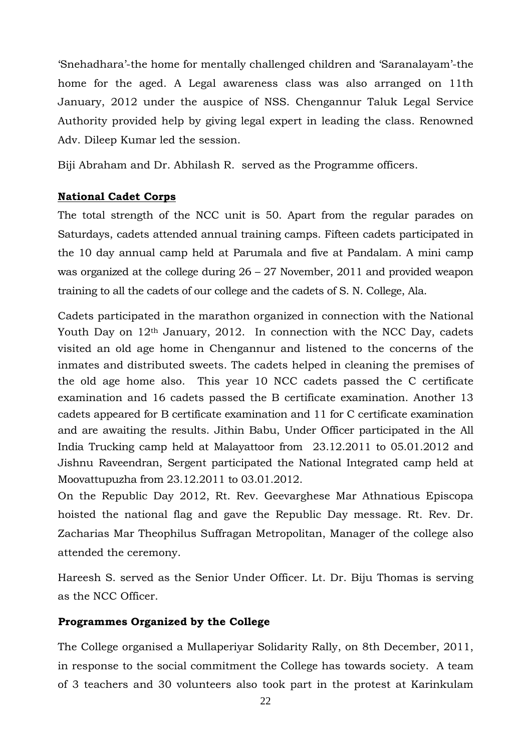'Snehadhara'-the home for mentally challenged children and 'Saranalayam'-the home for the aged. A Legal awareness class was also arranged on 11th January, 2012 under the auspice of NSS. Chengannur Taluk Legal Service Authority provided help by giving legal expert in leading the class. Renowned Adv. Dileep Kumar led the session.

Biji Abraham and Dr. Abhilash R. served as the Programme officers.

# **National Cadet Corps**

The total strength of the NCC unit is 50. Apart from the regular parades on Saturdays, cadets attended annual training camps. Fifteen cadets participated in the 10 day annual camp held at Parumala and five at Pandalam. A mini camp was organized at the college during 26 – 27 November, 2011 and provided weapon training to all the cadets of our college and the cadets of S. N. College, Ala.

Cadets participated in the marathon organized in connection with the National Youth Day on 12<sup>th</sup> January, 2012. In connection with the NCC Day, cadets visited an old age home in Chengannur and listened to the concerns of the inmates and distributed sweets. The cadets helped in cleaning the premises of the old age home also. This year 10 NCC cadets passed the C certificate examination and 16 cadets passed the B certificate examination. Another 13 cadets appeared for B certificate examination and 11 for C certificate examination and are awaiting the results. Jithin Babu, Under Officer participated in the All India Trucking camp held at Malayattoor from 23.12.2011 to 05.01.2012 and Jishnu Raveendran, Sergent participated the National Integrated camp held at Moovattupuzha from 23.12.2011 to 03.01.2012.

On the Republic Day 2012, Rt. Rev. Geevarghese Mar Athnatious Episcopa hoisted the national flag and gave the Republic Day message. Rt. Rev. Dr. Zacharias Mar Theophilus Suffragan Metropolitan, Manager of the college also attended the ceremony.

Hareesh S. served as the Senior Under Officer. Lt. Dr. Biju Thomas is serving as the NCC Officer.

# **Programmes Organized by the College**

The College organised a Mullaperiyar Solidarity Rally, on 8th December, 2011, in response to the social commitment the College has towards society. A team of 3 teachers and 30 volunteers also took part in the protest at Karinkulam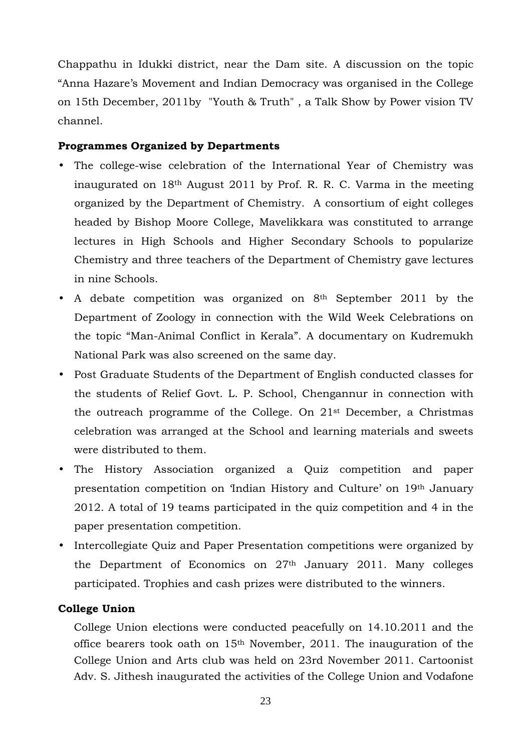Chappathu in Idukki district, near the Dam site. A discussion on the topic "Anna Hazare's Movement and Indian Democracy was organised in the College on 15th December, 2011by "Youth & Truth" , a Talk Show by Power vision TV channel.

## **Programmes Organized by Departments**

- The college-wise celebration of the International Year of Chemistry was inaugurated on 18th August 2011 by Prof. R. R. C. Varma in the meeting organized by the Department of Chemistry. A consortium of eight colleges headed by Bishop Moore College, Mavelikkara was constituted to arrange lectures in High Schools and Higher Secondary Schools to popularize Chemistry and three teachers of the Department of Chemistry gave lectures in nine Schools.
- A debate competition was organized on  $8<sup>th</sup>$  September 2011 by the Department of Zoology in connection with the Wild Week Celebrations on the topic "Man-Animal Conflict in Kerala". A documentary on Kudremukh National Park was also screened on the same day.
- Post Graduate Students of the Department of English conducted classes for the students of Relief Govt. L. P. School, Chengannur in connection with the outreach programme of the College. On 21st December, a Christmas celebration was arranged at the School and learning materials and sweets were distributed to them.
- The History Association organized a Quiz competition and paper presentation competition on 'Indian History and Culture' on 19th January 2012. A total of 19 teams participated in the quiz competition and 4 in the paper presentation competition.
- Intercollegiate Quiz and Paper Presentation competitions were organized by the Department of Economics on 27th January 2011. Many colleges participated. Trophies and cash prizes were distributed to the winners.

# **College Union**

College Union elections were conducted peacefully on 14.10.2011 and the office bearers took oath on 15th November, 2011. The inauguration of the College Union and Arts club was held on 23rd November 2011. Cartoonist Adv. S. Jithesh inaugurated the activities of the College Union and Vodafone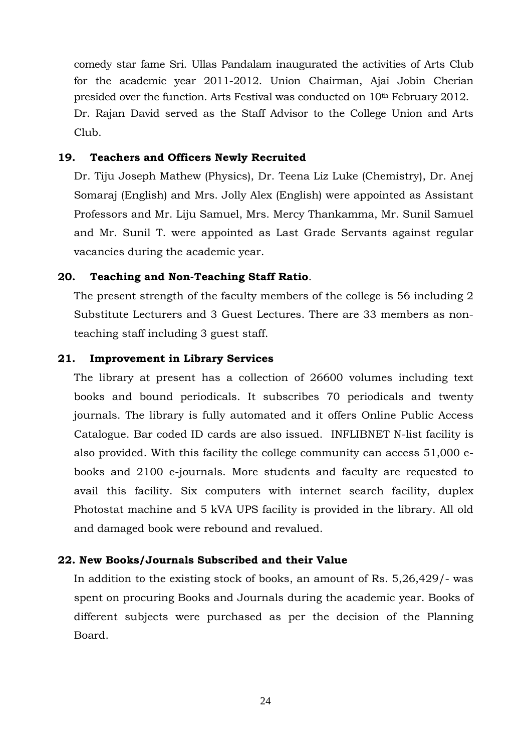comedy star fame Sri. Ullas Pandalam inaugurated the activities of Arts Club for the academic year 2011-2012. Union Chairman, Ajai Jobin Cherian presided over the function. Arts Festival was conducted on 10th February 2012. Dr. Rajan David served as the Staff Advisor to the College Union and Arts Club.

### **19. Teachers and Officers Newly Recruited**

Dr. Tiju Joseph Mathew (Physics), Dr. Teena Liz Luke (Chemistry), Dr. Anej Somaraj (English) and Mrs. Jolly Alex (English) were appointed as Assistant Professors and Mr. Liju Samuel, Mrs. Mercy Thankamma, Mr. Sunil Samuel and Mr. Sunil T. were appointed as Last Grade Servants against regular vacancies during the academic year.

#### **20. Teaching and Non-Teaching Staff Ratio**.

The present strength of the faculty members of the college is 56 including 2 Substitute Lecturers and 3 Guest Lectures. There are 33 members as nonteaching staff including 3 guest staff.

#### **21. Improvement in Library Services**

The library at present has a collection of 26600 volumes including text books and bound periodicals. It subscribes 70 periodicals and twenty journals. The library is fully automated and it offers Online Public Access Catalogue. Bar coded ID cards are also issued. INFLIBNET N-list facility is also provided. With this facility the college community can access 51,000 ebooks and 2100 e-journals. More students and faculty are requested to avail this facility. Six computers with internet search facility, duplex Photostat machine and 5 kVA UPS facility is provided in the library. All old and damaged book were rebound and revalued.

## **22. New Books/Journals Subscribed and their Value**

In addition to the existing stock of books, an amount of Rs. 5,26,429/- was spent on procuring Books and Journals during the academic year. Books of different subjects were purchased as per the decision of the Planning Board.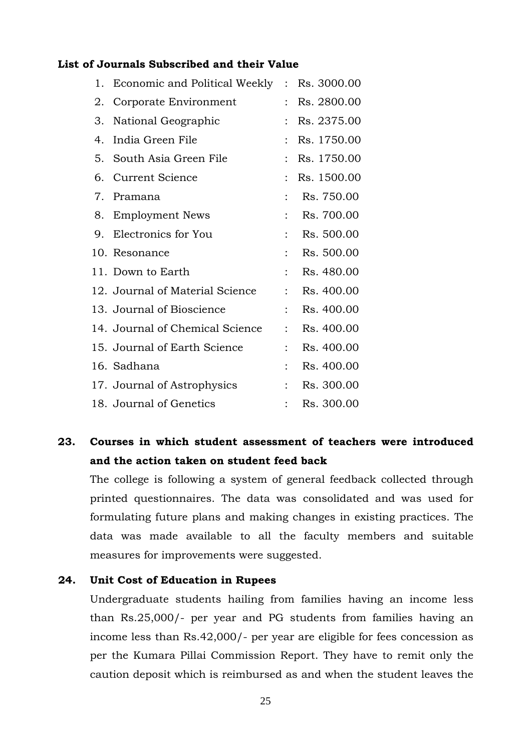## **List of Journals Subscribed and their Value**

| 1. | Economic and Political Weekly : |                | Rs. 3000.00 |
|----|---------------------------------|----------------|-------------|
| 2. | Corporate Environment           |                | Rs. 2800.00 |
| 3. | National Geographic             | $\ddot{\cdot}$ | Rs. 2375.00 |
| 4. | India Green File                | $\ddot{\cdot}$ | Rs. 1750.00 |
| 5. | South Asia Green File           | $\ddot{\cdot}$ | Rs. 1750.00 |
| 6. | Current Science                 | $\ddot{\cdot}$ | Rs. 1500.00 |
| 7. | Pramana                         |                | Rs. 750.00  |
| 8. | <b>Employment News</b>          | $\ddot{\cdot}$ | Rs. 700.00  |
| 9. | Electronics for You             | $\ddot{\cdot}$ | Rs. 500.00  |
|    | 10. Resonance                   |                | Rs. 500.00  |
|    | 11. Down to Earth               | $\ddot{\cdot}$ | Rs. 480.00  |
|    | 12. Journal of Material Science | $\ddot{\cdot}$ | Rs. 400.00  |
|    | 13. Journal of Bioscience       | $\ddot{\cdot}$ | Rs. 400.00  |
|    | 14. Journal of Chemical Science | $\ddot{\cdot}$ | Rs. 400.00  |
|    | 15. Journal of Earth Science    | $\ddot{\cdot}$ | Rs. 400.00  |
|    | 16. Sadhana                     |                | Rs. 400.00  |
|    | 17. Journal of Astrophysics     |                | Rs. 300.00  |
|    | 18. Journal of Genetics         |                | Rs. 300.00  |

# **23. Courses in which student assessment of teachers were introduced and the action taken on student feed back**

The college is following a system of general feedback collected through printed questionnaires. The data was consolidated and was used for formulating future plans and making changes in existing practices. The data was made available to all the faculty members and suitable measures for improvements were suggested.

#### **24. Unit Cost of Education in Rupees**

Undergraduate students hailing from families having an income less than Rs.25,000/- per year and PG students from families having an income less than Rs.42,000/- per year are eligible for fees concession as per the Kumara Pillai Commission Report. They have to remit only the caution deposit which is reimbursed as and when the student leaves the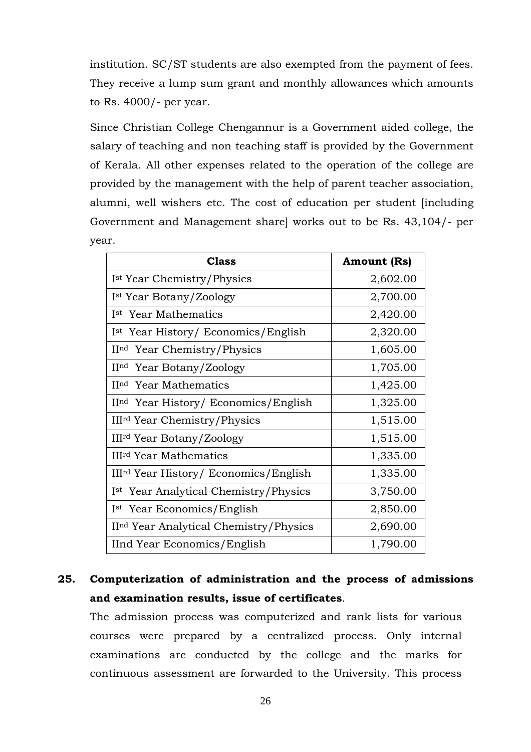institution. SC/ST students are also exempted from the payment of fees. They receive a lump sum grant and monthly allowances which amounts to Rs. 4000/- per year.

Since Christian College Chengannur is a Government aided college, the salary of teaching and non teaching staff is provided by the Government of Kerala. All other expenses related to the operation of the college are provided by the management with the help of parent teacher association, alumni, well wishers etc. The cost of education per student [including Government and Management share] works out to be Rs. 43,104/- per year.

| Class                                             | <b>Amount (Rs)</b> |  |  |  |
|---------------------------------------------------|--------------------|--|--|--|
| I <sup>st</sup> Year Chemistry/Physics            | 2,602.00           |  |  |  |
| Ist Year Botany/Zoology                           | 2,700.00           |  |  |  |
| I <sup>st</sup> Year Mathematics                  | 2,420.00           |  |  |  |
| Ist Year History/ Economics/English               | 2,320.00           |  |  |  |
| IInd Year Chemistry/Physics                       | 1,605.00           |  |  |  |
| IInd Year Botany/Zoology                          | 1,705.00           |  |  |  |
| II <sup>nd</sup> Year Mathematics                 | 1,425.00           |  |  |  |
| I <sup>nd</sup> Year History/ Economics/English   | 1,325.00           |  |  |  |
| III <sup>rd</sup> Year Chemistry/Physics          | 1,515.00           |  |  |  |
| III <sup>rd</sup> Year Botany/Zoology             | 1,515.00           |  |  |  |
| III <sup>rd</sup> Year Mathematics                | 1,335.00           |  |  |  |
| III <sup>rd</sup> Year History/ Economics/English | 1,335.00           |  |  |  |
| I <sup>st</sup> Year Analytical Chemistry/Physics | 3,750.00           |  |  |  |
| I <sup>st</sup> Year Economics/English            | 2,850.00           |  |  |  |
| IInd Year Analytical Chemistry/Physics            | 2,690.00           |  |  |  |
| IInd Year Economics/English                       | 1,790.00           |  |  |  |

# **25. Computerization of administration and the process of admissions and examination results, issue of certificates**.

The admission process was computerized and rank lists for various courses were prepared by a centralized process. Only internal examinations are conducted by the college and the marks for continuous assessment are forwarded to the University. This process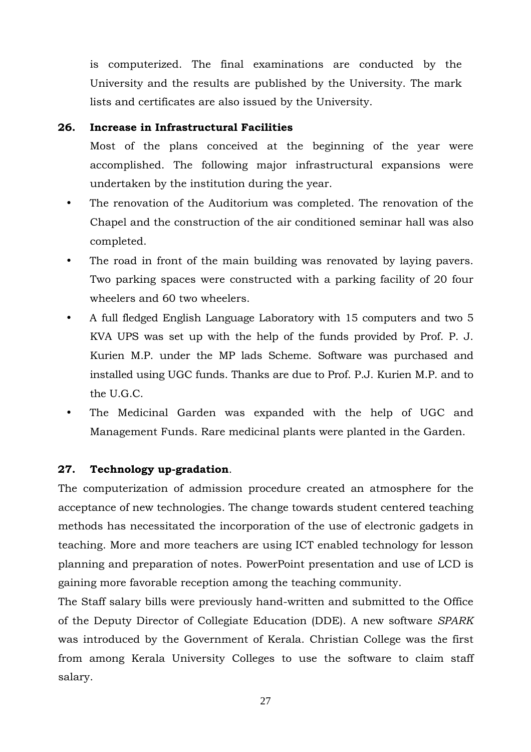is computerized. The final examinations are conducted by the University and the results are published by the University. The mark lists and certificates are also issued by the University.

# **26. Increase in Infrastructural Facilities**

Most of the plans conceived at the beginning of the year were accomplished. The following major infrastructural expansions were undertaken by the institution during the year.

- The renovation of the Auditorium was completed. The renovation of the Chapel and the construction of the air conditioned seminar hall was also completed.
- The road in front of the main building was renovated by laying pavers. Two parking spaces were constructed with a parking facility of 20 four wheelers and 60 two wheelers.
- A full fledged English Language Laboratory with 15 computers and two 5 KVA UPS was set up with the help of the funds provided by Prof. P. J. Kurien M.P. under the MP lads Scheme. Software was purchased and installed using UGC funds. Thanks are due to Prof. P.J. Kurien M.P. and to the U.G.C.
- The Medicinal Garden was expanded with the help of UGC and Management Funds. Rare medicinal plants were planted in the Garden.

# **27. Technology up-gradation**.

The computerization of admission procedure created an atmosphere for the acceptance of new technologies. The change towards student centered teaching methods has necessitated the incorporation of the use of electronic gadgets in teaching. More and more teachers are using ICT enabled technology for lesson planning and preparation of notes. PowerPoint presentation and use of LCD is gaining more favorable reception among the teaching community.

The Staff salary bills were previously hand-written and submitted to the Office of the Deputy Director of Collegiate Education (DDE). A new software *SPARK* was introduced by the Government of Kerala. Christian College was the first from among Kerala University Colleges to use the software to claim staff salary.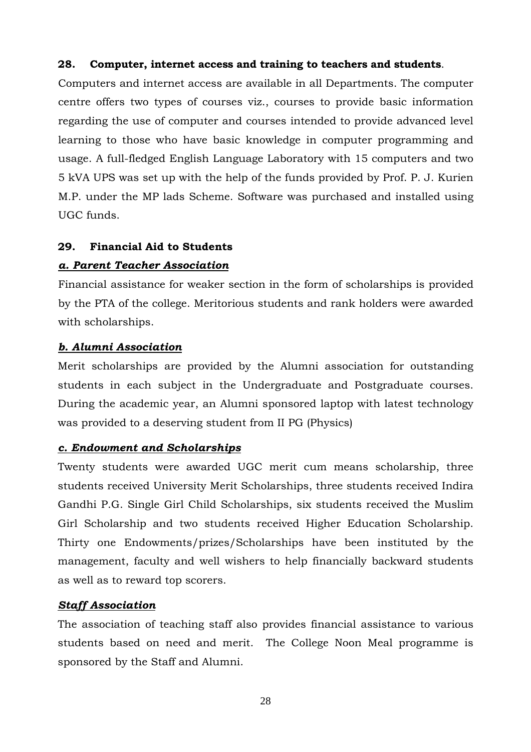## **28. Computer, internet access and training to teachers and students**.

Computers and internet access are available in all Departments. The computer centre offers two types of courses viz., courses to provide basic information regarding the use of computer and courses intended to provide advanced level learning to those who have basic knowledge in computer programming and usage. A full-fledged English Language Laboratory with 15 computers and two 5 kVA UPS was set up with the help of the funds provided by Prof. P. J. Kurien M.P. under the MP lads Scheme. Software was purchased and installed using UGC funds.

#### **29. Financial Aid to Students**

#### *a. Parent Teacher Association*

Financial assistance for weaker section in the form of scholarships is provided by the PTA of the college. Meritorious students and rank holders were awarded with scholarships.

#### *b. Alumni Association*

Merit scholarships are provided by the Alumni association for outstanding students in each subject in the Undergraduate and Postgraduate courses. During the academic year, an Alumni sponsored laptop with latest technology was provided to a deserving student from II PG (Physics)

## *c. Endowment and Scholarships*

Twenty students were awarded UGC merit cum means scholarship, three students received University Merit Scholarships, three students received Indira Gandhi P.G. Single Girl Child Scholarships, six students received the Muslim Girl Scholarship and two students received Higher Education Scholarship. Thirty one Endowments/prizes/Scholarships have been instituted by the management, faculty and well wishers to help financially backward students as well as to reward top scorers.

## *Staff Association*

The association of teaching staff also provides financial assistance to various students based on need and merit. The College Noon Meal programme is sponsored by the Staff and Alumni.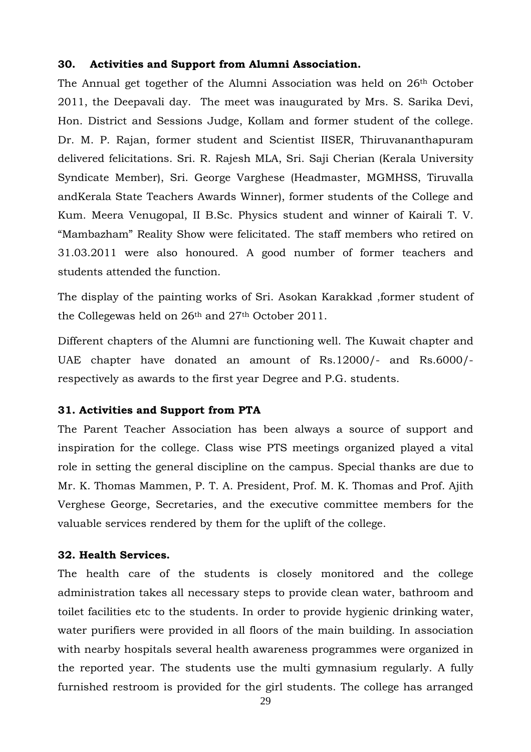#### **30. Activities and Support from Alumni Association.**

The Annual get together of the Alumni Association was held on 26th October 2011, the Deepavali day. The meet was inaugurated by Mrs. S. Sarika Devi, Hon. District and Sessions Judge, Kollam and former student of the college. Dr. M. P. Rajan, former student and Scientist IISER, Thiruvananthapuram delivered felicitations. Sri. R. Rajesh MLA, Sri. Saji Cherian (Kerala University Syndicate Member), Sri. George Varghese (Headmaster, MGMHSS, Tiruvalla andKerala State Teachers Awards Winner), former students of the College and Kum. Meera Venugopal, II B.Sc. Physics student and winner of Kairali T. V. "Mambazham" Reality Show were felicitated. The staff members who retired on 31.03.2011 were also honoured. A good number of former teachers and students attended the function.

The display of the painting works of Sri. Asokan Karakkad ,former student of the Collegewas held on 26th and 27th October 2011.

Different chapters of the Alumni are functioning well. The Kuwait chapter and UAE chapter have donated an amount of Rs.12000/- and Rs.6000/ respectively as awards to the first year Degree and P.G. students.

## **31. Activities and Support from PTA**

The Parent Teacher Association has been always a source of support and inspiration for the college. Class wise PTS meetings organized played a vital role in setting the general discipline on the campus. Special thanks are due to Mr. K. Thomas Mammen, P. T. A. President, Prof. M. K. Thomas and Prof. Ajith Verghese George, Secretaries, and the executive committee members for the valuable services rendered by them for the uplift of the college.

#### **32. Health Services.**

The health care of the students is closely monitored and the college administration takes all necessary steps to provide clean water, bathroom and toilet facilities etc to the students. In order to provide hygienic drinking water, water purifiers were provided in all floors of the main building. In association with nearby hospitals several health awareness programmes were organized in the reported year. The students use the multi gymnasium regularly. A fully furnished restroom is provided for the girl students. The college has arranged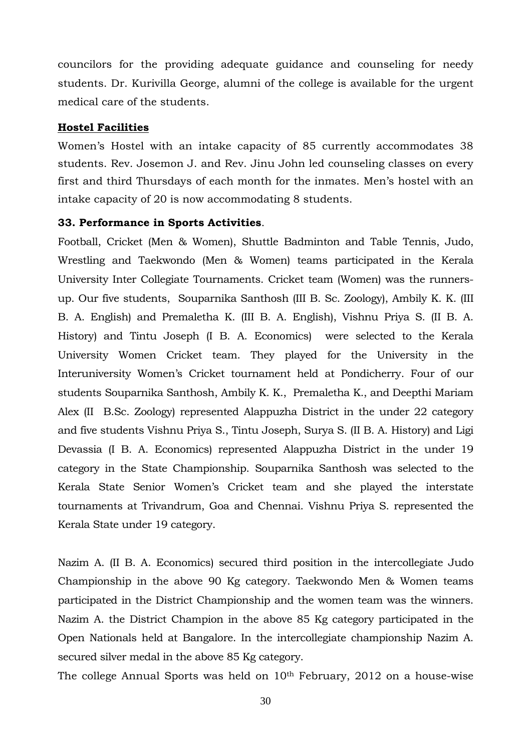councilors for the providing adequate guidance and counseling for needy students. Dr. Kurivilla George, alumni of the college is available for the urgent medical care of the students.

#### **Hostel Facilities**

Women's Hostel with an intake capacity of 85 currently accommodates 38 students. Rev. Josemon J. and Rev. Jinu John led counseling classes on every first and third Thursdays of each month for the inmates. Men's hostel with an intake capacity of 20 is now accommodating 8 students.

#### **33. Performance in Sports Activities**.

Football, Cricket (Men & Women), Shuttle Badminton and Table Tennis, Judo, Wrestling and Taekwondo (Men & Women) teams participated in the Kerala University Inter Collegiate Tournaments. Cricket team (Women) was the runnersup. Our five students, Souparnika Santhosh (III B. Sc. Zoology), Ambily K. K. (III B. A. English) and Premaletha K. (III B. A. English), Vishnu Priya S. (II B. A. History) and Tintu Joseph (I B. A. Economics) were selected to the Kerala University Women Cricket team. They played for the University in the Interuniversity Women's Cricket tournament held at Pondicherry. Four of our students Souparnika Santhosh, Ambily K. K., Premaletha K., and Deepthi Mariam Alex (II B.Sc. Zoology) represented Alappuzha District in the under 22 category and five students Vishnu Priya S., Tintu Joseph, Surya S. (II B. A. History) and Ligi Devassia (I B. A. Economics) represented Alappuzha District in the under 19 category in the State Championship. Souparnika Santhosh was selected to the Kerala State Senior Women's Cricket team and she played the interstate tournaments at Trivandrum, Goa and Chennai. Vishnu Priya S. represented the Kerala State under 19 category.

Nazim A. (II B. A. Economics) secured third position in the intercollegiate Judo Championship in the above 90 Kg category. Taekwondo Men & Women teams participated in the District Championship and the women team was the winners. Nazim A. the District Champion in the above 85 Kg category participated in the Open Nationals held at Bangalore. In the intercollegiate championship Nazim A. secured silver medal in the above 85 Kg category.

The college Annual Sports was held on  $10<sup>th</sup>$  February, 2012 on a house-wise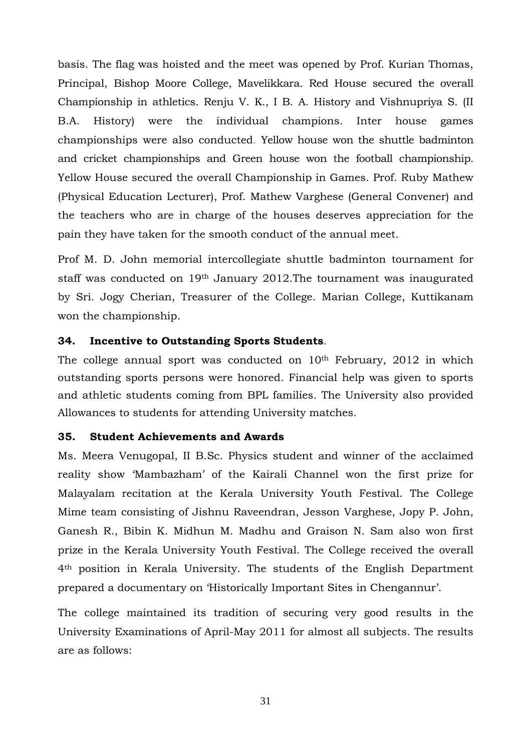basis. The flag was hoisted and the meet was opened by Prof. Kurian Thomas, Principal, Bishop Moore College, Mavelikkara. Red House secured the overall Championship in athletics. Renju V. K., I B. A. History and Vishnupriya S. (II B.A. History) were the individual champions. Inter house games championships were also conducted. Yellow house won the shuttle badminton and cricket championships and Green house won the football championship. Yellow House secured the overall Championship in Games. Prof. Ruby Mathew (Physical Education Lecturer), Prof. Mathew Varghese (General Convener) and the teachers who are in charge of the houses deserves appreciation for the pain they have taken for the smooth conduct of the annual meet.

Prof M. D. John memorial intercollegiate shuttle badminton tournament for staff was conducted on 19th January 2012.The tournament was inaugurated by Sri. Jogy Cherian, Treasurer of the College. Marian College, Kuttikanam won the championship.

## **34. Incentive to Outstanding Sports Students**.

The college annual sport was conducted on 10<sup>th</sup> February, 2012 in which outstanding sports persons were honored. Financial help was given to sports and athletic students coming from BPL families. The University also provided Allowances to students for attending University matches.

#### **35. Student Achievements and Awards**

Ms. Meera Venugopal, II B.Sc. Physics student and winner of the acclaimed reality show 'Mambazham' of the Kairali Channel won the first prize for Malayalam recitation at the Kerala University Youth Festival. The College Mime team consisting of Jishnu Raveendran, Jesson Varghese, Jopy P. John, Ganesh R., Bibin K. Midhun M. Madhu and Graison N. Sam also won first prize in the Kerala University Youth Festival. The College received the overall 4th position in Kerala University. The students of the English Department prepared a documentary on 'Historically Important Sites in Chengannur'.

The college maintained its tradition of securing very good results in the University Examinations of April-May 2011 for almost all subjects. The results are as follows:

31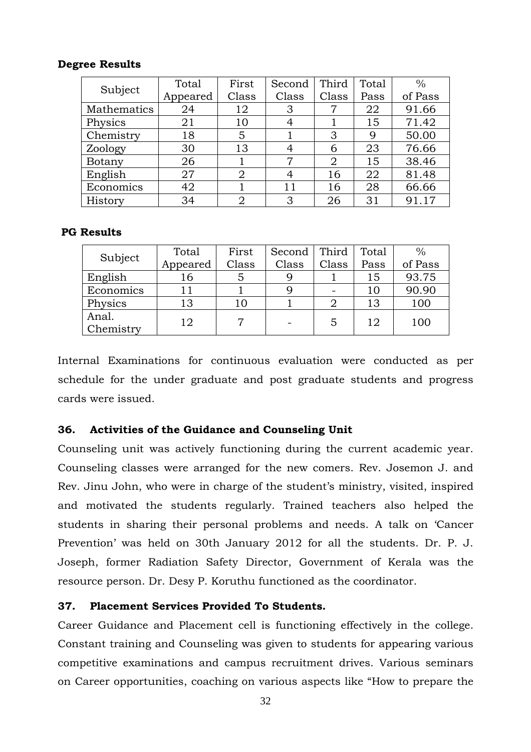## **Degree Results**

| Subject     | Total    | First | Second | Third          | Total | $\frac{0}{0}$ |
|-------------|----------|-------|--------|----------------|-------|---------------|
|             | Appeared | Class | Class  | Class          | Pass  | of Pass       |
| Mathematics | 24       | 12    | 3      |                | 22    | 91.66         |
| Physics     | 21       | 10    | 4      |                | 15    | 71.42         |
| Chemistry   | 18       | 5     |        | 3              | 9     | 50.00         |
| Zoology     | 30       | 13    | 4      | 6              | 23    | 76.66         |
| Botany      | 26       |       | 7      | $\overline{2}$ | 15    | 38.46         |
| English     | 27       | 2     | 4      | 16             | 22    | 81.48         |
| Economics   | 42       |       | 11     | 16             | 28    | 66.66         |
| History     | 34       | 2     | 3      | 26             | 31    | 91.17         |

## **PG Results**

| Subject            | Total    | First | Second | Third | Total | $\%$    |
|--------------------|----------|-------|--------|-------|-------|---------|
|                    | Appeared | Class | Class  | Class | Pass  | of Pass |
| English            | 16       |       |        |       | 15    | 93.75   |
| Economics          |          |       |        |       | 10    | 90.90   |
| Physics            | 13       | 10    |        |       | 13    | 100     |
| Anal.<br>Chemistry | 12       |       |        | 5     | 12    | 100     |

Internal Examinations for continuous evaluation were conducted as per schedule for the under graduate and post graduate students and progress cards were issued.

## **36. Activities of the Guidance and Counseling Unit**

Counseling unit was actively functioning during the current academic year. Counseling classes were arranged for the new comers. Rev. Josemon J. and Rev. Jinu John, who were in charge of the student's ministry, visited, inspired and motivated the students regularly. Trained teachers also helped the students in sharing their personal problems and needs. A talk on 'Cancer Prevention' was held on 30th January 2012 for all the students. Dr. P. J. Joseph, former Radiation Safety Director, Government of Kerala was the resource person. Dr. Desy P. Koruthu functioned as the coordinator.

# **37. Placement Services Provided To Students.**

Career Guidance and Placement cell is functioning effectively in the college. Constant training and Counseling was given to students for appearing various competitive examinations and campus recruitment drives. Various seminars on Career opportunities, coaching on various aspects like "How to prepare the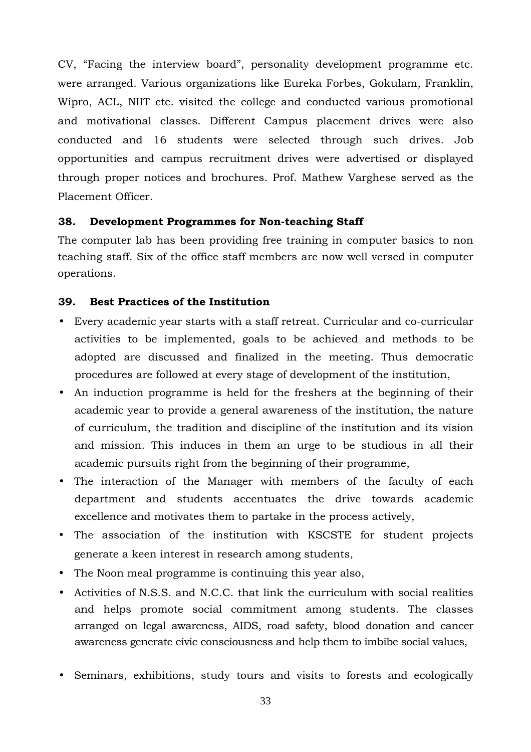CV, "Facing the interview board", personality development programme etc. were arranged. Various organizations like Eureka Forbes, Gokulam, Franklin, Wipro, ACL, NIIT etc. visited the college and conducted various promotional and motivational classes. Different Campus placement drives were also conducted and 16 students were selected through such drives. Job opportunities and campus recruitment drives were advertised or displayed through proper notices and brochures. Prof. Mathew Varghese served as the Placement Officer.

# **38. Development Programmes for Non-teaching Staff**

The computer lab has been providing free training in computer basics to non teaching staff. Six of the office staff members are now well versed in computer operations.

# **39. Best Practices of the Institution**

- Every academic year starts with a staff retreat. Curricular and co-curricular activities to be implemented, goals to be achieved and methods to be adopted are discussed and finalized in the meeting. Thus democratic procedures are followed at every stage of development of the institution,
- An induction programme is held for the freshers at the beginning of their academic year to provide a general awareness of the institution, the nature of curriculum, the tradition and discipline of the institution and its vision and mission. This induces in them an urge to be studious in all their academic pursuits right from the beginning of their programme,
- The interaction of the Manager with members of the faculty of each department and students accentuates the drive towards academic excellence and motivates them to partake in the process actively,
- The association of the institution with KSCSTE for student projects generate a keen interest in research among students,
- The Noon meal programme is continuing this year also,
- Activities of N.S.S. and N.C.C. that link the curriculum with social realities and helps promote social commitment among students. The classes arranged on legal awareness, AIDS, road safety, blood donation and cancer awareness generate civic consciousness and help them to imbibe social values,
- Seminars, exhibitions, study tours and visits to forests and ecologically